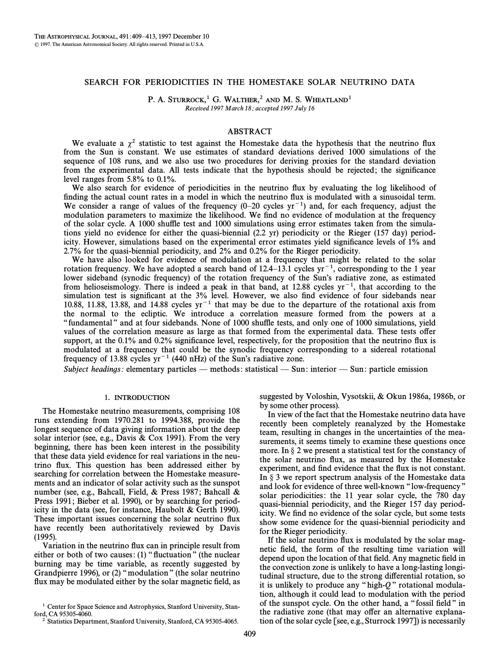# SEARCH FOR PERIODICITIES IN THE HOMESTAKE SOLAR NEUTRINO DATA

P. A. STURROCK,<sup>1</sup> G. WALTHER,<sup>2</sup> AND M. S. WHEATLAND<sup>1</sup> Received 1997 March 18; accepted 1997 July 16

# ABSTRACT

We evaluate a  $\chi^2$  statistic to test against the Homestake data the hypothesis that the neutrino flux from the Sun is constant. We use estimates of standard deviations derived 1000 simulations of the sequence of 108 runs, and we also use two procedures for deriving proxies for the standard deviation from the experimental data. All tests indicate that the hypothesis should be rejected; the significance level ranges from 5.8% to 0.1%.

We also search for evidence of periodicities in the neutrino flux by evaluating the log likelihood of finding the actual count rates in a model in which the neutrino flux is modulated with a sinusoidal term. We consider a range of values of the frequency  $(0-20 \text{ cycles yr}^{-1})$  and, for each frequency, adjust the modulation parameters to maximize the likelihood. We find no evidence of modulation at the frequency of the solar cycle. A 1000 shuffle test and 1000 simulations using error estimates taken from the simulations yield no evidence for either the quasi-biennial (2.2 yr) periodicity or the Rieger (157 day) periodicity. However, simulations based on the experimental error estimates yield significance levels of 1% and 2.7% for the quasi-biennial periodicity, and 2% and 0.2% for the Rieger periodicity.

We have also looked for evidence of modulation at a frequency that might be related to the solar rotation frequency. We have adopted a search band of 12.4–13.1 cycles  $yr^{-1}$ , corresponding to the 1 year lower sideband (synodic frequency) of the rotation frequency of the Sun's radiative zone, as estimated from helioseismology. There is indeed a peak in that band, at 12.88 cycles  $yr^{-1}$ , that according to the simulation test is significant at the 3% level. However, we also find evidence of four sidebands near 10.88, 11.88, 13.88, and 14.88 cycles  $yr^{-1}$  that may be due to the departure of the rotational axis from the normal to the ecliptic. We introduce a correlation measure formed from the powers at a "fundamental" and at four sidebands. None of 1000 shuffle tests, and only one of 1000 simulations, yield values of the correlation measure as large as that formed from the experimental data. These tests offer support, at the 0.1% and 0.2% significance level, respectively, for the proposition that the neutrino flux is modulated at a frequency that could be the synodic frequency corresponding to a sidereal rotational frequency of 13.88 cycles  $yr^{-1}$  (440 nHz) of the Sun's radiative zone.

Subject headings: elementary particles — methods: statistical — Sun: interior — Sun: particle emission

#### 1. INTRODUCTION

The Homestake neutrino measurements, comprising 108 runs extending from 1970.281 to 1994.388, provide the longest sequence of data giving information about the deep solar interior (see, e.g., Davis  $& \text{Cox } 1991$ ). From the very beginning, there has been keen interest in the possibility that these data yield evidence for real variations in the neutrino Ñux. This question has been addressed either by searching for correlation between the Homestake measurements and an indicator of solar activity such as the sunspot number (see, e.g., Bahcall, Field, & Press 1987; Bahcall & Press 1991; Bieber et al. 1990), or by searching for periodicity in the data (see, for instance, Haubolt  $\&$  Gerth 1990). These important issues concerning the solar neutrino flux have recently been authoritatively reviewed by Davis (1995).

Variation in the neutrino flux can in principle result from either or both of two causes:  $(1)$  "fluctuation" (the nuclear burning may be time variable, as recently suggested by Grandpierre 1996), or (2) "modulation" (the solar neutrino flux may be modulated either by the solar magnetic field, as suggested by Voloshin, Vysotskii, & Okun 1986a, 1986b, or by some other process).

In view of the fact that the Homestake neutrino data have recently been completely reanalyzed by the Homestake team, resulting in changes in the uncertainties of the measurements, it seems timely to examine these questions once more. In  $\S 2$  we present a statistical test for the constancy of the solar neutrino Ñux, as measured by the Homestake experiment, and find evidence that the flux is not constant. In  $\S$  3 we report spectrum analysis of the Homestake data and look for evidence of three well-known "low-frequency" solar periodicities: the 11 year solar cycle, the 780 day quasi-biennial periodicity, and the Rieger 157 day periodicity. We find no evidence of the solar cycle, but some tests show some evidence for the quasi-biennial periodicity and for the Rieger periodicity.

If the solar neutrino flux is modulated by the solar magnetic field, the form of the resulting time variation will depend upon the location of that field. Any magnetic field in the convection zone is unlikely to have a long-lasting longitudinal structure, due to the strong differential rotation, so it is unlikely to produce any "high- $Q$ " rotational modulation, although it could lead to modulation with the period of the sunspot cycle. On the other hand, a "fossil field" in the radiative zone (that may offer an alternative explanation of the solar cycle [see, e.g., Sturrock 1997]) is necessarily

<sup>&</sup>lt;sup>1</sup> Center for Space Science and Astrophysics, Stanford University, Stanford, CA 95305-4060.

<sup>2</sup> Statistics Department, Stanford University, Stanford, CA 95305-4065.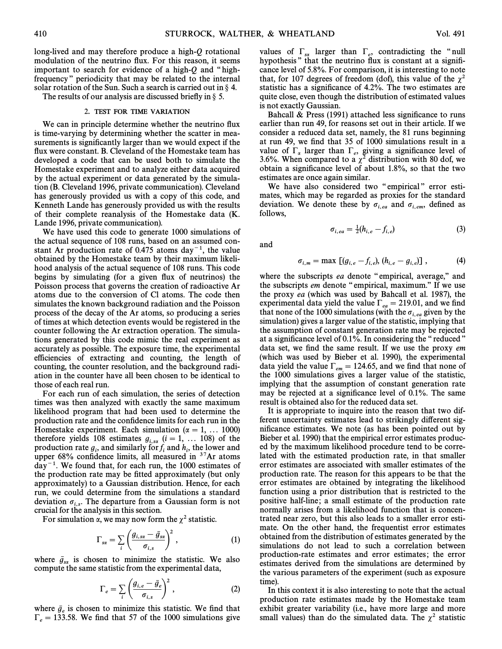long-lived and may therefore produce a high-Q rotational modulation of the neutrino flux. For this reason, it seems important to search for evidence of a high- $Q$  and "highfrequency" periodicity that may be related to the internal solar rotation of the Sun. Such a search is carried out in  $\S$  4.

The results of our analysis are discussed briefly in  $\S$  5.

## 2. TEST FOR TIME VARIATION

We can in principle determine whether the neutrino flux is time-varying by determining whether the scatter in measurements is significantly larger than we would expect if the flux were constant. B. Cleveland of the Homestake team has developed a code that can be used both to simulate the Homestake experiment and to analyze either data acquired by the actual experiment or data generated by the simulation (B. Cleveland 1996, private communication). Cleveland has generously provided us with a copy of this code, and Kenneth Lande has generously provided us with the results of their complete reanalysis of the Homestake data (K. Lande 1996, private communication).

We have used this code to generate 1000 simulations of the actual sequence of 108 runs, based on an assumed constant Ar production rate of 0.475 atoms  $day^{-1}$ , the value obtained by the Homestake team by their maximum likelihood analysis of the actual sequence of 108 runs. This code begins by simulating (for a given flux of neutrinos) the Poisson process that governs the creation of radioactive Ar atoms due to the conversion of Cl atoms. The code then simulates the known background radiation and the Poisson process of the decay of the Ar atoms, so producing a series of times at which detection events would be registered in the counter following the Ar extraction operation. The simulations generated by this code mimic the real experiment as accurately as possible. The exposure time, the experimental efficiencies of extracting and counting, the length of counting, the counter resolution, and the background radiation in the counter have all been chosen to be identical to those of each real run.

For each run of each simulation, the series of detection times was then analyzed with exactly the same maximum likelihood program that had been used to determine the production rate and the confidence limits for each run in the Homestake experiment. Each simulation ( $\alpha = 1, \ldots 1000$ ) therefore yields 108 estimates  $g_{i, s\alpha}$  ( $i = 1, \ldots 108$ ) of the production rate  $y_i$ , and similarly for  $y_i$  and  $n_i$ , the fower and upper 68% confidence limits, all measured in  $37$ Ar atoms , and similarly for  $f_i$  and  $h_i$ ,<br>lence limits, all measured.  $day^{-1}$ . We found that, for each run, the 1000 estimates of the production rate may be fitted approximately (but only approximately) to a Gaussian distribution. Hence, for each run, we could determine from the simulations a standard deviation  $\sigma_{i,s}$ . The departure from a Gaussian form is not  $\alpha$  crucial for the analysis in this section.

For simulation 
$$
\alpha
$$
, we may now form the  $\chi^2$  statistic.  
\n
$$
\Gamma_{\text{sa}} = \sum_{i} \left( \frac{g_{i,\text{sa}} - \bar{g}_{\text{sa}}}{\sigma_{i,\text{s}}} \right)^2, \tag{1}
$$

where  $\bar{g}_{s\alpha}$  is chosen to minimize the statistic. We also  $s_{s\alpha}$  is chosen to minimize the statistic. We compute the same statistic from the experimental data,

$$
\Gamma_e = \sum_{i} \left( \frac{g_{i,e} - \bar{g}_e}{\sigma_{i,s}} \right)^2, \tag{2}
$$

where  $\bar{g}_e$  is chosen to minimize this statistic. We find that where  $y_e$  is chosen to imminize this statistic. We find that  $\Gamma_e = 133.58$ . We find that 57 of the 1000 simulations give

values of  $\Gamma_{sa}$  larger than  $\Gamma_{e}$ , contradicting the "null hypothesis" that the neutrino flux is constant at a signifihypothesis" that the neutrino flux is constant at a significance level of 5.8%. For comparison, it is interesting to note that, for 107 degrees of freedom (dof), this value of the  $\chi^2$ statistic has a significance of 4.2%. The two estimates are quite close, even though the distribution of estimated values is not exactly Gaussian.

Bahcall  $&$  Press (1991) attached less significance to runs earlier than run 49, for reasons set out in their article. If we consider a reduced data set, namely, the 81 runs beginning at run 49, we find that 35 of 1000 simulations result in a value of  $\Gamma_{\alpha}$  larger than  $\Gamma_{e}$ , giving a significance level of  $3.6\%$ . When compared to a  $x^2$  distribution with 80 dof we 3.6%. When compared to a  $\chi^2$  distribution with 80 dof, we obtain a significance level of about 1.8%, so that the two estimates are once again similar.

We have also considered two "empirical" error estimates, which may be regarded as proxies for the standard deviation. We denote these by  $\sigma_{i,eq}$  and  $\sigma_{i,em}$ , defined as follows follows,

$$
\sigma_{i, ea} = \frac{1}{2} (h_{i, e} - f_{i, e})
$$
\n(3)

and

$$
\sigma_{i,m} = \max \left[ (g_{i,e} - f_{i,e}), (h_{i,e} - g_{i,e}) \right], \tag{4}
$$

where the subscripts ea denote "empirical, average," and the subscripts em denote "empirical, maximum." If we use the proxy ea (which was used by Bahcall et al. 1987), the experimental data yield the value  $\Gamma_{ea} = 219.01$ , and we find that none of the 1000 simulations (with the  $\sigma_{i,eq}$  given by the simulation) gives a larger value of the statistic, implying that the assumption of constant generation rate may be rejected at a significance level of  $0.1\%$ . In considering the "reduced" data set, we find the same result. If we use the proxy em (which was used by Bieber et al. 1990), the experimental data yield the value  $\Gamma_{em} = 124.65$ , and we find that none of the 1000 simulations gives a larger value of the statistic, implying that the assumption of constant generation rate may be rejected at a significance level of  $0.1\%$ . The same result is obtained also for the reduced data set.

It is appropriate to inquire into the reason that two different uncertainty estimates lead to strikingly different significance estimates. We note (as has been pointed out by Bieber et al. 1990) that the empirical error estimates produced by the maximum likelihood procedure tend to be correlated with the estimated production rate, in that smaller error estimates are associated with smaller estimates of the production rate. The reason for this appears to be that the error estimates are obtained by integrating the likelihood function using a prior distribution that is restricted to the positive half-line; a small estimate of the production rate normally arises from a likelihood function that is concentrated near zero, but this also leads to a smaller error estimate. On the other hand, the frequentist error estimates obtained from the distribution of estimates generated by the simulations do not lead to such a correlation between production-rate estimates and error estimates; the error estimates derived from the simulations are determined by the various parameters of the experiment (such as exposure time).

In this context it is also interesting to note that the actual production rate estimates made by the Homestake team exhibit greater variability (i.e., have more large and more small values) than do the simulated data. The  $\chi^2$  statistic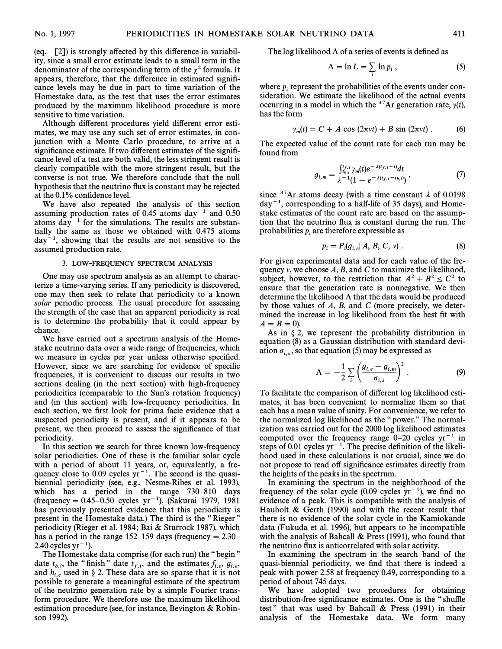(eq. [2]) is strongly affected by this difference in variability, since a small error estimate leads to a small term in the denominator of the corresponding term of the  $\chi^2$  formula. It appears, therefore, that the difference in estimated significance levels may be due in part to time variation of the Homestake data, as the test that uses the error estimates produced by the maximum likelihood procedure is more sensitive to time variation.

Although different procedures yield different error estimates, we may use any such set of error estimates, in conjunction with a Monte Carlo procedure, to arrive at a significance estimate. If two different estimates of the significance level of a test are both valid, the less stringent result is clearly compatible with the more stringent result, but the converse is not true. We therefore conclude that the null hypothesis that the neutrino flux is constant may be rejected at the 0.1% confidence level.

We have also repeated the analysis of this section assuming production rates of 0.45 atoms day<sup> $-1$ </sup> and 0.50 atoms  $day^{-1}$  for the simulations. The results are substantially the same as those we obtained with 0.475 atoms  $day^{-1}$ , showing that the results are not sensitive to the assumed production rate.

#### 3. LOW-FREQUENCY SPECTRUM ANALYSIS

One may use spectrum analysis as an attempt to characterize a time-varying series. If any periodicity is discovered, one may then seek to relate that periodicity to a known solar periodic process. The usual procedure for assessing the strength of the case that an apparent periodicity is real is to determine the probability that it could appear by chance.

We have carried out a spectrum analysis of the Homestake neutrino data over a wide range of frequencies, which we measure in cycles per year unless otherwise specified. However, since we are searching for evidence of specific frequencies, it is convenient to discuss our results in two sections dealing (in the next section) with high-frequency periodicities (comparable to the Sun's rotation frequency) and (in this section) with low-frequency periodicities. In each section, we first look for prima facie evidence that a suspected periodicity is present, and if it appears to be present, we then proceed to assess the significance of that periodicity.

In this section we search for three known low-frequency solar periodicities. One of these is the familiar solar cycle with a period of about 11 years, or, equivalently, a frequency close to 0.09 cycles  $yr^{-1}$ . The second is the quasibiennial periodicity (see, e.g., Nesme-Ribes et al. 1993), which has a period in the range  $730-810$  days (frequency =  $0.45\text{-}0.50$  cycles yr<sup>-1</sup>). (Sakurai 1979, 1981 has previously presented evidence that this periodicity is present in the Homestake data.) The third is the "Rieger" periodicity (Rieger et al. 1984; Bai & Sturrock 1987), which has a period in the range 152–159 days (frequency  $= 2.30$ – 2.40 cycles  $yr^{-1}$ ).

The Homestake data comprise (for each run) the "begin" date  $t_{b,i}$ , the "finish" date  $t_{f,i}$ , and the estimates  $f_{i,e}, g_{i,e}$ , and  $h_{i,e}$ , the impair date  $if_{j,i}$ , and the estimates  $f_{i,e}$ ,  $g_{i,e}$ , and the is not have that it is not have that it is not have not have not have not have not have not have not have not have not have not have not ha possible to generate a meaningful estimate of the spectrum of the neutrino generation rate by a simple Fourier transform procedure. We therefore use the maximum likelihood estimation procedure (see, for instance, Bevington  $& Robin$ son 1992).

The log likelihood  $\Lambda$  of a series of events is defined as

$$
\Lambda = \ln L = \sum_{i} \ln p_i , \qquad (5)
$$

where  $p_i$  represent the probabilities of the events under consideration. We estimate the likelihood of the actual events occurring in a model in which the <sup>37</sup>Ar generation rate,  $\gamma(t)$ , has the form

$$
\gamma_m(t) = C + A \cos(2\pi vt) + B \sin(2\pi vt) \,. \tag{6}
$$

The expected value of the count rate for each run may be found from

$$
g_{i,m} = \frac{\int_{t_{b,i}}^{t_{f,i}} \gamma_m(t) e^{-\lambda(t_{f,i}-t)} dt}{\lambda^{-1} (1 - e^{-\lambda(t_{f,i}-t_{b,i})})}, \qquad (7)
$$

since  $37$ Ar atoms decay (with a time constant  $\lambda$  of 0.0198  $day^{-1}$ , corresponding to a half-life of 35 days), and Homestake estimates of the count rate are based on the assumption that the neutrino flux is constant during the run. The probabilities  $p_i$  are therefore expressible as

$$
p_i = P_i(g_{i,e}|A, B, C, v) . \tag{8}
$$

For given experimental data and for each value of the frequency  $\nu$ , we choose  $A$ ,  $B$ , and  $C$  to maximize the likelihood, subject, however, to the restriction that  $A^2 + B^2 \le C^2$  to ensure that the generation rate is nonnegative. We then determine the likelihood  $\Lambda$  that the data would be produced by those values of  $A$ ,  $B$ , and  $C$  (more precisely, we determined the increase in log likelihood from the best fit with  $A = B = 0$ ).

As in  $\S 2$ , we represent the probability distribution in equation (8) as a Gaussian distribution with standard deviation  $\sigma_{i,s}$ , so that equation (5) may be expressed as<br>  $A = \frac{1}{\sqrt{2}} \sum_{s} \left( \frac{g_{i,e} - g_{i,m}}{g_{i,e} - g_{i,m}} \right)^2$ 

$$
\Lambda = -\frac{1}{2} \sum_{i} \left( \frac{g_{i,e} - g_{i,m}}{\sigma_{i,s}} \right)^2.
$$
 (9)

To facilitate the comparison of di†erent log likelihood estimates, it has been convenient to normalize them so that each has a mean value of unity. For convenience, we refer to the normalized log likelihood as the "power." The normalization was carried out for the 2000 log likelihood estimates computed over the frequency range  $0-20$  cycles yr<sup>-1</sup> in steps of 0.01 cycles  $yr^{-1}$ . The precise definition of the likelihood used in these calculations is not crucial, since we do not propose to read off significance estimates directly from the heights of the peaks in the spectrum.

In examining the spectrum in the neighborhood of the frequency of the solar cycle (0.09 cycles  $yr^{-1}$ ), we find no evidence of a peak. This is compatible with the analysis of Haubolt  $\&$  Gerth (1990) and with the recent result that there is no evidence of the solar cycle in the Kamiokande data (Fukuda et al. 1996), but appears to be incompatible with the analysis of Bahcall  $&$  Press (1991), who found that the neutrino flux is anticorrelated with solar activity.

In examining the spectrum in the search band of the quasi-biennial periodicity, we find that there is indeed a peak with power 2.58 at frequency 0.49, corresponding to a period of about 745 days.

We have adopted two procedures for obtaining distribution-free significance estimates. One is the "shuffle test" that was used by Bahcall  $&$  Press (1991) in their analysis of the Homestake data. We form many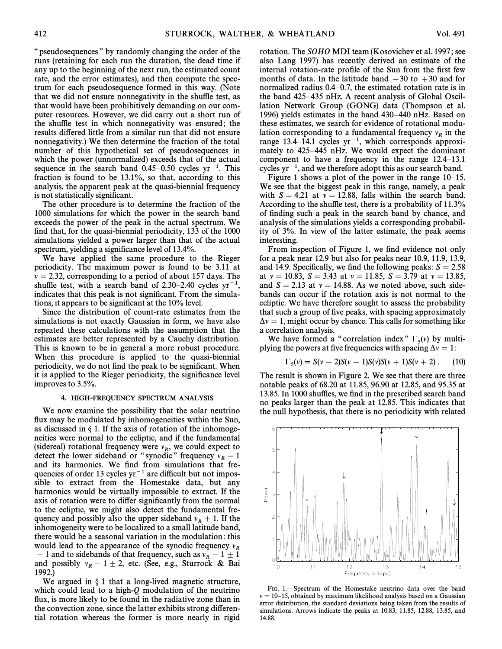" pseudosequences " by randomly changing the order of the runs (retaining for each run the duration, the dead time if any up to the beginning of the next run, the estimated count rate, and the error estimates), and then compute the spectrum for each pseudosequence formed in this way. (Note that we did not ensure nonnegativity in the shuffle test, as that would have been prohibitively demanding on our computer resources. However, we did carry out a short run of the shuffle test in which nonnegativity was ensured; the results differed little from a similar run that did not ensure nonnegativity.) We then determine the fraction of the total number of this hypothetical set of pseudosequences in which the power (unnormalized) exceeds that of the actual sequence in the search band  $0.45-0.50$  cycles yr<sup>-1</sup>. This fraction is found to be 13.1%, so that, according to this analysis, the apparent peak at the quasi-biennial frequency is not statistically significant.

The other procedure is to determine the fraction of the 1000 simulations for which the power in the search band exceeds the power of the peak in the actual spectrum. We find that, for the quasi-biennial periodicity, 133 of the 1000 simulations yielded a power larger than that of the actual spectrum, yielding a significance level of 13.4%.

We have applied the same procedure to the Rieger periodicity. The maximum power is found to be 3.11 at  $\nu = 2.32$ , corresponding to a period of about 157 days. The shuffle test, with a search band of 2.30–2.40 cycles  $yr^{-1}$ indicates that this peak is not significant. From the simulations, it appears to be significant at the 10% level.

Since the distribution of count-rate estimates from the simulations is not exactly Gaussian in form, we have also repeated these calculations with the assumption that the estimates are better represented by a Cauchy distribution. This is known to be in general a more robust procedure. When this procedure is applied to the quasi-biennial periodicity, we do not find the peak to be significant. When it is applied to the Rieger periodicity, the significance level improves to 3.5%.

## 4. HIGH-FREQUENCY SPECTRUM ANALYSIS

We now examine the possibility that the solar neutrino flux may be modulated by inhomogeneities within the Sun, as discussed in  $\S$  1. If the axis of rotation of the inhomogeneities were normal to the ecliptic, and if the fundamental (sidereal) rotational frequency were  $v_R$ , we could expect to  $\det$  or sideband or "synodic" frequency  $v_{R}$ , we could capped to<br>and its harmonics. We find from simulations that frequency and its harmonics. We find from simulations that frequencies of order 13 cycles  $yr^{-1}$  are difficult but not impossible to extract from the Homestake data, but any harmonics would be virtually impossible to extract. If the axis of rotation were to differ significantly from the normal to the ecliptic, we might also detect the fundamental frequency and possibly also the upper sideband  $v_R + 1$ . If the linkomogeneity were to be localized to a small latitude band. inhomogeneity were to be localized to a small latitude band, there would be a seasonal variation in the modulation: this would lead to the appearance of the synodic frequency  $v_R$ And to sidebands of that frequency, such as  $v_R - 1 \pm 1$ <br>and possibly  $v = 1 \pm 2$  atc. (See e.g. Sturrock  $R_2$  Bai and possibly  $v_R - 1 \pm 2$ , etc. (See, e.g., Sturrock & Bai 1002) 1992.)

We argued in  $\S$  1 that a long-lived magnetic structure, which could lead to a high-Q modulation of the neutrino flux, is more likely to be found in the radiative zone than in the convection zone, since the latter exhibits strong differential rotation whereas the former is more nearly in rigid rotation. The SOHO MDI team (Kosovichev et al. 1997; see also Lang 1997) has recently derived an estimate of the internal rotation-rate profile of the Sun from the first few months of data. In the latitude band  $-30$  to  $+30$  and for normalized radius  $0.4-0.7$ , the estimated rotation rate is in the band  $425-435$  nHz. A recent analysis of Global Oscillation Network Group (GONG) data (Thompson et al. 1996) yields estimates in the band  $430-440$  nHz. Based on these estimates, we search for evidence of rotational modulation corresponding to a fundamental frequency  $v_R$  in the range 13.4–14.1 cycles  $yr^{-1}$ , which corresponds approximately to  $425-445$  nHz. We would expect the dominant component to have a frequency in the range  $12.4-13.1$ cycles  $yr^{-1}$ , and we therefore adopt this as our search band.

Figure 1 shows a plot of the power in the range  $10-15$ . We see that the biggest peak in this range, namely, a peak with  $S = 4.21$  at  $v = 12.88$ , falls within the search band. According to the shuffle test, there is a probability of 11.3% of finding such a peak in the search band by chance, and analysis of the simulations yields a corresponding probability of 3%. In view of the latter estimate, the peak seems interesting.

From inspection of Figure 1, we find evidence not only for a peak near 12.9 but also for peaks near 10.9, 11.9, 13.9, and 14.9. Specifically, we find the following peaks:  $S = 2.58$ at  $v = 10.83$ ,  $S = 3.43$  at  $v = 11.85$ ,  $S = 3.79$  at  $v = 13.85$ , and  $S = 2.13$  at  $v = 14.88$ . As we noted above, such sidebands can occur if the rotation axis is not normal to the ecliptic. We have therefore sought to assess the probability that such a group of five peaks, with spacing approximately  $\Delta v = 1$ , might occur by chance. This calls for something like a correlation analysis.

We have formed a "correlation index"  $\Gamma_5(v)$  by multi-<br>ving the powers at five frequencies with spacing  $\Delta v = 1$ . plying the powers at five frequencies with spacing  $\Delta v = 1$ :

$$
\Gamma_5(v) = S(v-2)S(v-1)S(v)S(v+1)S(v+2) \ . \tag{10}
$$

The result is shown in Figure 2. We see that there are three notable peaks of 68.20 at 11.85, 96.90 at 12.85, and 95.35 at 13.85. In 1000 shuffles, we find in the prescribed search band no peaks larger than the peak at 12.85. This indicates that the null hypothesis, that there is no periodicity with related



FIG. 1.—Spectrum of the Homestake neutrino data over the band  $\nu = 10-15$ , obtained by maximum likelihood analysis based on a Gaussian error distribution, the standard deviations being taken from the results of simulations. Arrows indicate the peaks at 10.83, 11.85, 12.88, 13.85, and 14.88.